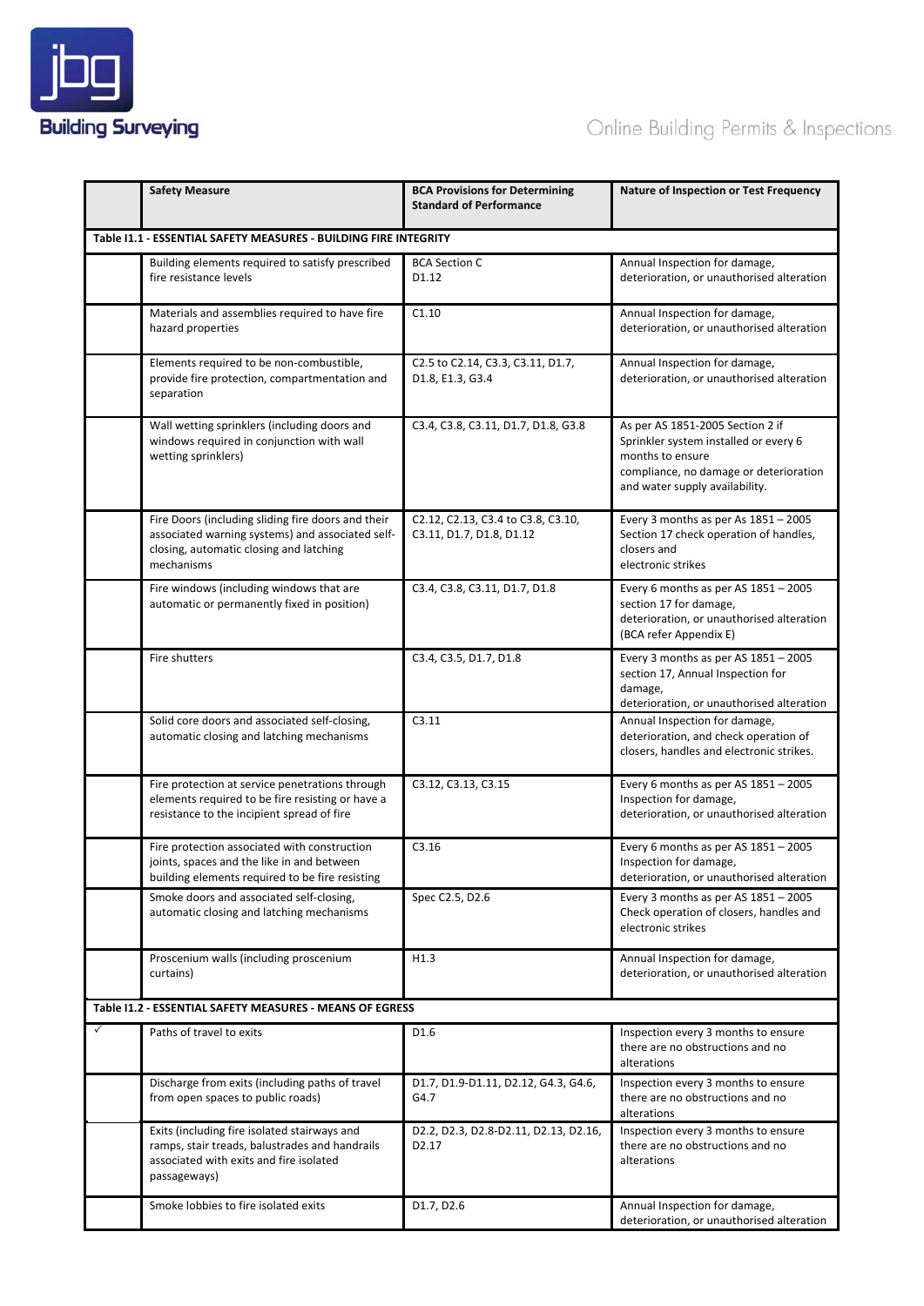

|              | <b>Safety Measure</b>                                                                                                                                           | <b>BCA Provisions for Determining</b><br><b>Standard of Performance</b> | Nature of Inspection or Test Frequency                                                                                                                                    |  |  |  |
|--------------|-----------------------------------------------------------------------------------------------------------------------------------------------------------------|-------------------------------------------------------------------------|---------------------------------------------------------------------------------------------------------------------------------------------------------------------------|--|--|--|
|              | Table I1.1 - ESSENTIAL SAFETY MEASURES - BUILDING FIRE INTEGRITY                                                                                                |                                                                         |                                                                                                                                                                           |  |  |  |
|              | Building elements required to satisfy prescribed<br>fire resistance levels                                                                                      | <b>BCA Section C</b><br>D1.12                                           | Annual Inspection for damage,<br>deterioration, or unauthorised alteration                                                                                                |  |  |  |
|              | Materials and assemblies required to have fire<br>hazard properties                                                                                             | C1.10                                                                   | Annual Inspection for damage,<br>deterioration, or unauthorised alteration                                                                                                |  |  |  |
|              | Elements required to be non-combustible,<br>provide fire protection, compartmentation and<br>separation                                                         | C2.5 to C2.14, C3.3, C3.11, D1.7,<br>D1.8, E1.3, G3.4                   | Annual Inspection for damage,<br>deterioration, or unauthorised alteration                                                                                                |  |  |  |
|              | Wall wetting sprinklers (including doors and<br>windows required in conjunction with wall<br>wetting sprinklers)                                                | C3.4, C3.8, C3.11, D1.7, D1.8, G3.8                                     | As per AS 1851-2005 Section 2 if<br>Sprinkler system installed or every 6<br>months to ensure<br>compliance, no damage or deterioration<br>and water supply availability. |  |  |  |
|              | Fire Doors (including sliding fire doors and their<br>associated warning systems) and associated self-<br>closing, automatic closing and latching<br>mechanisms | C2.12, C2.13, C3.4 to C3.8, C3.10,<br>C3.11, D1.7, D1.8, D1.12          | Every 3 months as per As $1851 - 2005$<br>Section 17 check operation of handles,<br>closers and<br>electronic strikes                                                     |  |  |  |
|              | Fire windows (including windows that are<br>automatic or permanently fixed in position)                                                                         | C3.4, C3.8, C3.11, D1.7, D1.8                                           | Every 6 months as per AS $1851 - 2005$<br>section 17 for damage,<br>deterioration, or unauthorised alteration<br>(BCA refer Appendix E)                                   |  |  |  |
|              | Fire shutters                                                                                                                                                   | C3.4, C3.5, D1.7, D1.8                                                  | Every 3 months as per AS $1851 - 2005$<br>section 17, Annual Inspection for<br>damage,<br>deterioration, or unauthorised alteration                                       |  |  |  |
|              | Solid core doors and associated self-closing,<br>automatic closing and latching mechanisms                                                                      | C3.11                                                                   | Annual Inspection for damage,<br>deterioration, and check operation of<br>closers, handles and electronic strikes.                                                        |  |  |  |
|              | Fire protection at service penetrations through<br>elements required to be fire resisting or have a<br>resistance to the incipient spread of fire               | C3.12, C3.13, C3.15                                                     | Every 6 months as per AS 1851 - 2005<br>Inspection for damage,<br>deterioration, or unauthorised alteration                                                               |  |  |  |
|              | Fire protection associated with construction<br>joints, spaces and the like in and between<br>building elements required to be fire resisting                   | C3.16                                                                   | Every 6 months as per AS $1851 - 2005$<br>Inspection for damage,<br>deterioration, or unauthorised alteration                                                             |  |  |  |
|              | Smoke doors and associated self-closing,<br>automatic closing and latching mechanisms                                                                           | Spec C2.5, D2.6                                                         | Every 3 months as per AS $1851 - 2005$<br>Check operation of closers, handles and<br>electronic strikes                                                                   |  |  |  |
|              | Proscenium walls (including proscenium<br>curtains)                                                                                                             | H1.3                                                                    | Annual Inspection for damage,<br>deterioration, or unauthorised alteration                                                                                                |  |  |  |
|              | Table 11.2 - ESSENTIAL SAFETY MEASURES - MEANS OF EGRESS                                                                                                        |                                                                         |                                                                                                                                                                           |  |  |  |
| $\checkmark$ | Paths of travel to exits                                                                                                                                        | D1.6                                                                    | Inspection every 3 months to ensure<br>there are no obstructions and no<br>alterations                                                                                    |  |  |  |
|              | Discharge from exits (including paths of travel<br>from open spaces to public roads)                                                                            | D1.7, D1.9-D1.11, D2.12, G4.3, G4.6,<br>G4.7                            | Inspection every 3 months to ensure<br>there are no obstructions and no<br>alterations                                                                                    |  |  |  |
|              | Exits (including fire isolated stairways and<br>ramps, stair treads, balustrades and handrails<br>associated with exits and fire isolated<br>passageways)       | D2.2, D2.3, D2.8-D2.11, D2.13, D2.16,<br>D <sub>2.17</sub>              | Inspection every 3 months to ensure<br>there are no obstructions and no<br>alterations                                                                                    |  |  |  |
|              | Smoke lobbies to fire isolated exits                                                                                                                            | D1.7, D2.6                                                              | Annual Inspection for damage,<br>deterioration, or unauthorised alteration                                                                                                |  |  |  |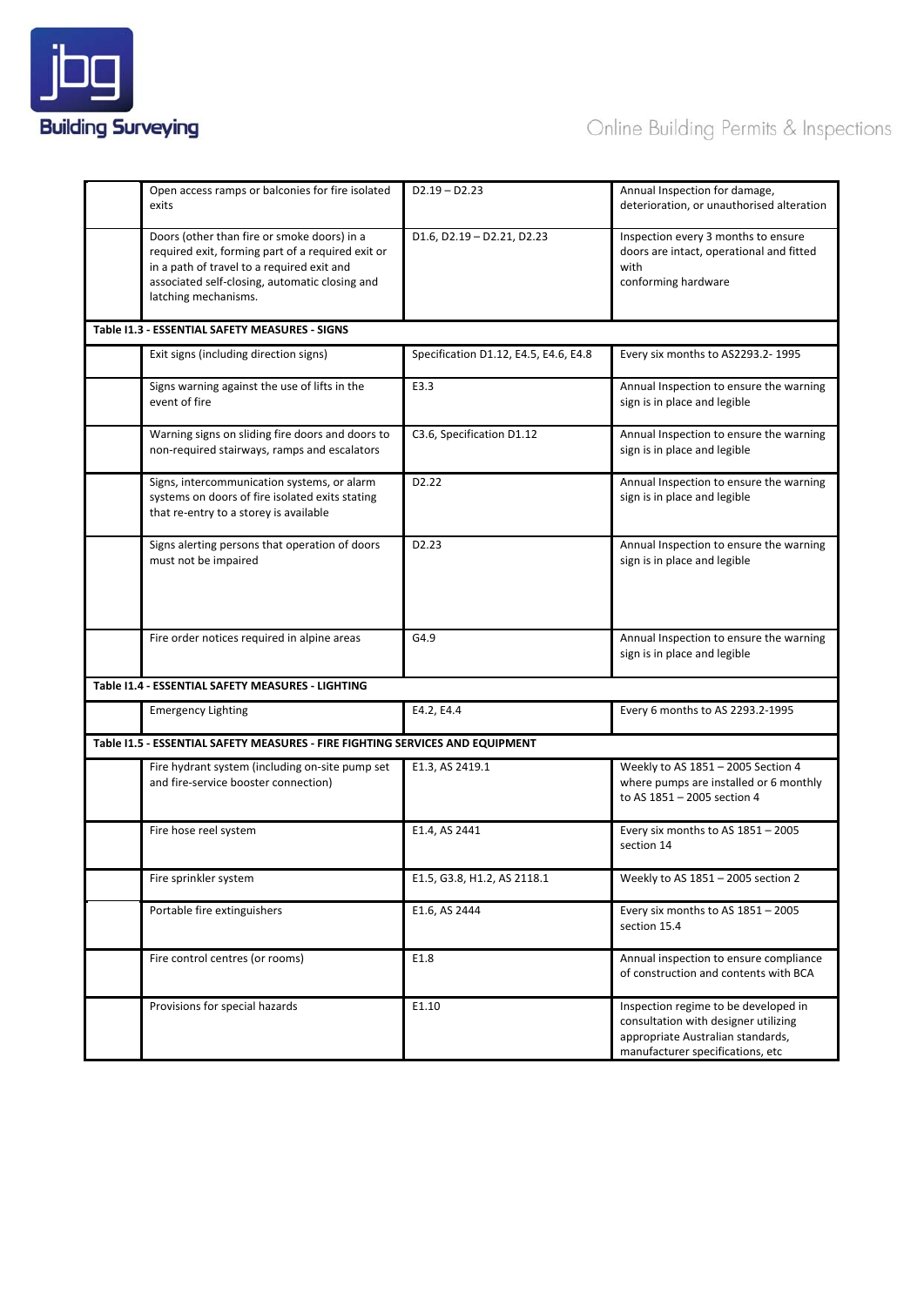

# Online Building Permits & Inspections

|                                                | Open access ramps or balconies for fire isolated<br>exits                                                                                                                                                                | $D2.19 - D2.23$                       | Annual Inspection for damage,<br>deterioration, or unauthorised alteration                                                                            |  |  |
|------------------------------------------------|--------------------------------------------------------------------------------------------------------------------------------------------------------------------------------------------------------------------------|---------------------------------------|-------------------------------------------------------------------------------------------------------------------------------------------------------|--|--|
|                                                | Doors (other than fire or smoke doors) in a<br>required exit, forming part of a required exit or<br>in a path of travel to a required exit and<br>associated self-closing, automatic closing and<br>latching mechanisms. | $D1.6, D2.19 - D2.21, D2.23$          | Inspection every 3 months to ensure<br>doors are intact, operational and fitted<br>with<br>conforming hardware                                        |  |  |
| Table I1.3 - ESSENTIAL SAFETY MEASURES - SIGNS |                                                                                                                                                                                                                          |                                       |                                                                                                                                                       |  |  |
|                                                | Exit signs (including direction signs)                                                                                                                                                                                   | Specification D1.12, E4.5, E4.6, E4.8 | Every six months to AS2293.2-1995                                                                                                                     |  |  |
|                                                | Signs warning against the use of lifts in the<br>event of fire                                                                                                                                                           | E3.3                                  | Annual Inspection to ensure the warning<br>sign is in place and legible                                                                               |  |  |
|                                                | Warning signs on sliding fire doors and doors to<br>non-required stairways, ramps and escalators                                                                                                                         | C3.6, Specification D1.12             | Annual Inspection to ensure the warning<br>sign is in place and legible                                                                               |  |  |
|                                                | Signs, intercommunication systems, or alarm<br>systems on doors of fire isolated exits stating<br>that re-entry to a storey is available                                                                                 | D <sub>2</sub> .22                    | Annual Inspection to ensure the warning<br>sign is in place and legible                                                                               |  |  |
|                                                | Signs alerting persons that operation of doors<br>must not be impaired                                                                                                                                                   | D2.23                                 | Annual Inspection to ensure the warning<br>sign is in place and legible                                                                               |  |  |
|                                                | Fire order notices required in alpine areas                                                                                                                                                                              | G4.9                                  | Annual Inspection to ensure the warning<br>sign is in place and legible                                                                               |  |  |
|                                                | Table I1.4 - ESSENTIAL SAFETY MEASURES - LIGHTING                                                                                                                                                                        |                                       |                                                                                                                                                       |  |  |
|                                                | <b>Emergency Lighting</b>                                                                                                                                                                                                | E4.2, E4.4                            | Every 6 months to AS 2293.2-1995                                                                                                                      |  |  |
|                                                | Table I1.5 - ESSENTIAL SAFETY MEASURES - FIRE FIGHTING SERVICES AND EQUIPMENT                                                                                                                                            |                                       |                                                                                                                                                       |  |  |
|                                                | Fire hydrant system (including on-site pump set<br>and fire-service booster connection)                                                                                                                                  | E1.3, AS 2419.1                       | Weekly to AS 1851 - 2005 Section 4<br>where pumps are installed or 6 monthly<br>to AS 1851 - 2005 section 4                                           |  |  |
|                                                | Fire hose reel system                                                                                                                                                                                                    | E1.4, AS 2441                         | Every six months to AS 1851 - 2005<br>section 14                                                                                                      |  |  |
|                                                | Fire sprinkler system                                                                                                                                                                                                    | E1.5, G3.8, H1.2, AS 2118.1           | Weekly to AS 1851 - 2005 section 2                                                                                                                    |  |  |
|                                                | Portable fire extinguishers                                                                                                                                                                                              | E1.6, AS 2444                         | Every six months to AS $1851 - 2005$<br>section 15.4                                                                                                  |  |  |
|                                                | Fire control centres (or rooms)                                                                                                                                                                                          | E1.8                                  | Annual inspection to ensure compliance<br>of construction and contents with BCA                                                                       |  |  |
|                                                | Provisions for special hazards                                                                                                                                                                                           | E1.10                                 | Inspection regime to be developed in<br>consultation with designer utilizing<br>appropriate Australian standards,<br>manufacturer specifications, etc |  |  |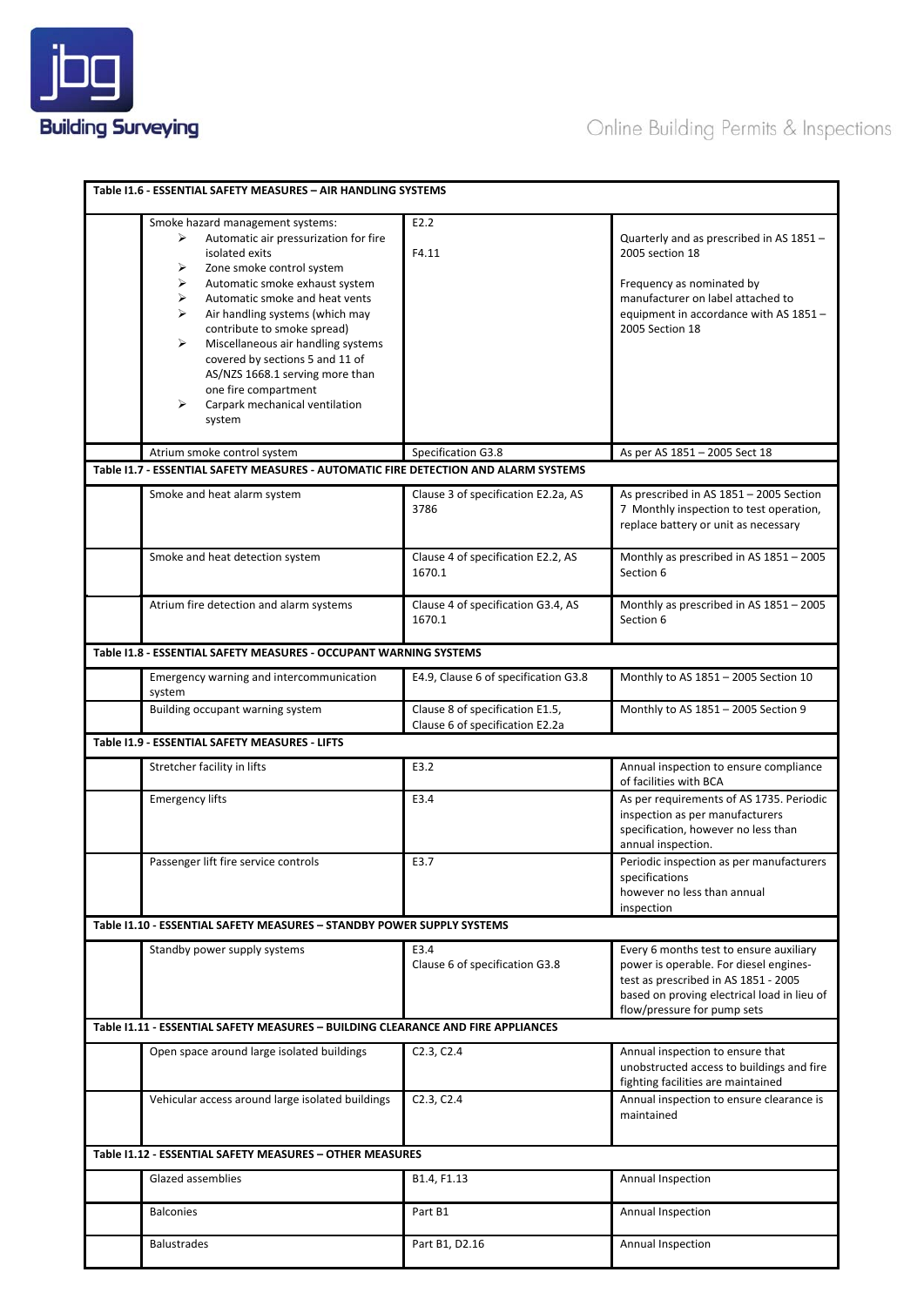

|                                                          | Table 11.6 - ESSENTIAL SAFETY MEASURES - AIR HANDLING SYSTEMS                                                                                                                                                                                                                                                                                                                                                                                                                     |                                              |                                                                                                                                                                                                         |  |
|----------------------------------------------------------|-----------------------------------------------------------------------------------------------------------------------------------------------------------------------------------------------------------------------------------------------------------------------------------------------------------------------------------------------------------------------------------------------------------------------------------------------------------------------------------|----------------------------------------------|---------------------------------------------------------------------------------------------------------------------------------------------------------------------------------------------------------|--|
|                                                          | Smoke hazard management systems:<br>Automatic air pressurization for fire<br>≻<br>isolated exits<br>Zone smoke control system<br>➤<br>➤<br>Automatic smoke exhaust system<br>⋗<br>Automatic smoke and heat vents<br>⋗<br>Air handling systems (which may<br>contribute to smoke spread)<br>➤<br>Miscellaneous air handling systems<br>covered by sections 5 and 11 of<br>AS/NZS 1668.1 serving more than<br>one fire compartment<br>Carpark mechanical ventilation<br>⋗<br>system | E2.2<br>F4.11                                | Quarterly and as prescribed in AS 1851 -<br>2005 section 18<br>Frequency as nominated by<br>manufacturer on label attached to<br>equipment in accordance with AS 1851 -<br>2005 Section 18              |  |
|                                                          | Atrium smoke control system                                                                                                                                                                                                                                                                                                                                                                                                                                                       | Specification G3.8                           | As per AS 1851 - 2005 Sect 18                                                                                                                                                                           |  |
|                                                          | Table I1.7 - ESSENTIAL SAFETY MEASURES - AUTOMATIC FIRE DETECTION AND ALARM SYSTEMS                                                                                                                                                                                                                                                                                                                                                                                               |                                              |                                                                                                                                                                                                         |  |
|                                                          | Smoke and heat alarm system                                                                                                                                                                                                                                                                                                                                                                                                                                                       | Clause 3 of specification E2.2a, AS<br>3786  | As prescribed in AS 1851 - 2005 Section<br>7 Monthly inspection to test operation,<br>replace battery or unit as necessary                                                                              |  |
|                                                          | Smoke and heat detection system                                                                                                                                                                                                                                                                                                                                                                                                                                                   | Clause 4 of specification E2.2, AS<br>1670.1 | Monthly as prescribed in AS 1851 - 2005<br>Section 6                                                                                                                                                    |  |
|                                                          | Atrium fire detection and alarm systems                                                                                                                                                                                                                                                                                                                                                                                                                                           | Clause 4 of specification G3.4, AS<br>1670.1 | Monthly as prescribed in AS 1851 - 2005<br>Section 6                                                                                                                                                    |  |
|                                                          | Table I1.8 - ESSENTIAL SAFETY MEASURES - OCCUPANT WARNING SYSTEMS                                                                                                                                                                                                                                                                                                                                                                                                                 |                                              |                                                                                                                                                                                                         |  |
|                                                          | Emergency warning and intercommunication<br>system                                                                                                                                                                                                                                                                                                                                                                                                                                | E4.9, Clause 6 of specification G3.8         | Monthly to AS 1851 - 2005 Section 10                                                                                                                                                                    |  |
|                                                          | Building occupant warning system                                                                                                                                                                                                                                                                                                                                                                                                                                                  | Clause 8 of specification E1.5,              | Monthly to AS 1851 - 2005 Section 9                                                                                                                                                                     |  |
|                                                          | Table I1.9 - ESSENTIAL SAFETY MEASURES - LIFTS                                                                                                                                                                                                                                                                                                                                                                                                                                    | Clause 6 of specification E2.2a              |                                                                                                                                                                                                         |  |
|                                                          |                                                                                                                                                                                                                                                                                                                                                                                                                                                                                   |                                              |                                                                                                                                                                                                         |  |
|                                                          | Stretcher facility in lifts                                                                                                                                                                                                                                                                                                                                                                                                                                                       | E3.2                                         | Annual inspection to ensure compliance<br>of facilities with BCA                                                                                                                                        |  |
|                                                          | <b>Emergency lifts</b>                                                                                                                                                                                                                                                                                                                                                                                                                                                            | E3.4                                         | As per requirements of AS 1735. Periodic<br>inspection as per manufacturers<br>specification, however no less than<br>annual inspection.                                                                |  |
|                                                          | Passenger lift fire service controls                                                                                                                                                                                                                                                                                                                                                                                                                                              | E3.7                                         | Periodic inspection as per manufacturers<br>specifications<br>however no less than annual<br>inspection                                                                                                 |  |
|                                                          | Table 11.10 - ESSENTIAL SAFETY MEASURES - STANDBY POWER SUPPLY SYSTEMS                                                                                                                                                                                                                                                                                                                                                                                                            |                                              |                                                                                                                                                                                                         |  |
|                                                          | Standby power supply systems                                                                                                                                                                                                                                                                                                                                                                                                                                                      | E3.4<br>Clause 6 of specification G3.8       | Every 6 months test to ensure auxiliary<br>power is operable. For diesel engines-<br>test as prescribed in AS 1851 - 2005<br>based on proving electrical load in lieu of<br>flow/pressure for pump sets |  |
|                                                          | Table 11.11 - ESSENTIAL SAFETY MEASURES - BUILDING CLEARANCE AND FIRE APPLIANCES                                                                                                                                                                                                                                                                                                                                                                                                  |                                              |                                                                                                                                                                                                         |  |
|                                                          | Open space around large isolated buildings                                                                                                                                                                                                                                                                                                                                                                                                                                        | C2.3, C2.4                                   | Annual inspection to ensure that<br>unobstructed access to buildings and fire<br>fighting facilities are maintained                                                                                     |  |
|                                                          | Vehicular access around large isolated buildings                                                                                                                                                                                                                                                                                                                                                                                                                                  | C2.3, C2.4                                   | Annual inspection to ensure clearance is<br>maintained                                                                                                                                                  |  |
| Table I1.12 - ESSENTIAL SAFETY MEASURES - OTHER MEASURES |                                                                                                                                                                                                                                                                                                                                                                                                                                                                                   |                                              |                                                                                                                                                                                                         |  |
|                                                          | Glazed assemblies                                                                                                                                                                                                                                                                                                                                                                                                                                                                 | B1.4, F1.13                                  | Annual Inspection                                                                                                                                                                                       |  |
|                                                          | <b>Balconies</b>                                                                                                                                                                                                                                                                                                                                                                                                                                                                  | Part B1                                      | Annual Inspection                                                                                                                                                                                       |  |
|                                                          | <b>Balustrades</b>                                                                                                                                                                                                                                                                                                                                                                                                                                                                | Part B1, D2.16                               | Annual Inspection                                                                                                                                                                                       |  |